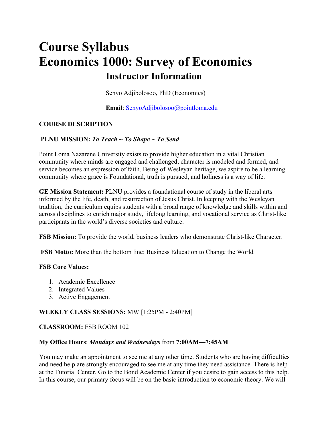# **Course Syllabus Economics 1000: Survey of Economics Instructor Information**

Senyo Adjibolosoo, PhD (Economics)

**Email**: SenyoAdjibolosoo@pointloma.edu

# **COURSE DESCRIPTION**

#### **PLNU MISSION:** *To Teach ~ To Shape ~ To Send*

Point Loma Nazarene University exists to provide higher education in a vital Christian community where minds are engaged and challenged, character is modeled and formed, and service becomes an expression of faith. Being of Wesleyan heritage, we aspire to be a learning community where grace is Foundational, truth is pursued, and holiness is a way of life.

**GE Mission Statement:** PLNU provides a foundational course of study in the liberal arts informed by the life, death, and resurrection of Jesus Christ. In keeping with the Wesleyan tradition, the curriculum equips students with a broad range of knowledge and skills within and across disciplines to enrich major study, lifelong learning, and vocational service as Christ-like participants in the world's diverse societies and culture.

**FSB Mission:** To provide the world, business leaders who demonstrate Christ-like Character.

**FSB Motto:** More than the bottom line: Business Education to Change the World

#### **FSB Core Values:**

- 1. Academic Excellence
- 2. Integrated Values
- 3. Active Engagement

# **WEEKLY CLASS SESSIONS:** MW [1:25PM - 2:40PM]

#### **CLASSROOM:** FSB ROOM 102

#### **My Office Hours**: *Mondays and Wednesdays* from **7:00AM—7:45AM**

You may make an appointment to see me at any other time. Students who are having difficulties and need help are strongly encouraged to see me at any time they need assistance. There is help at the Tutorial Center. Go to the Bond Academic Center if you desire to gain access to this help. In this course, our primary focus will be on the basic introduction to economic theory. We will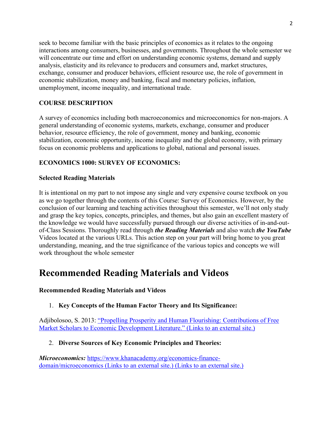seek to become familiar with the basic principles of economics as it relates to the ongoing interactions among consumers, businesses, and governments. Throughout the whole semester we will concentrate our time and effort on understanding economic systems, demand and supply analysis, elasticity and its relevance to producers and consumers and, market structures, exchange, consumer and producer behaviors, efficient resource use, the role of government in economic stabilization, money and banking, fiscal and monetary policies, inflation, unemployment, income inequality, and international trade.

# **COURSE DESCRIPTION**

A survey of economics including both macroeconomics and microeconomics for non-majors. A general understanding of economic systems, markets, exchange, consumer and producer behavior, resource efficiency, the role of government, money and banking, economic stabilization, economic opportunity, income inequality and the global economy, with primary focus on economic problems and applications to global, national and personal issues.

# **ECONOMICS 1000: SURVEY OF ECONOMICS:**

#### **Selected Reading Materials**

It is intentional on my part to not impose any single and very expensive course textbook on you as we go together through the contents of this Course: Survey of Economics. However, by the conclusion of our learning and teaching activities throughout this semester, we'll not only study and grasp the key topics, concepts, principles, and themes, but also gain an excellent mastery of the knowledge we would have successfully pursued through our diverse activities of in-and-outof-Class Sessions. Thoroughly read through *the Reading Materials* and also watch *the YouTube* Videos located at the various URLs. This action step on your part will bring home to you great understanding, meaning, and the true significance of the various topics and concepts we will work throughout the whole semester

# **Recommended Reading Materials and Videos**

#### **Recommended Reading Materials and Videos**

# 1. **Key Concepts of the Human Factor Theory and Its Significance:**

Adjibolosoo, S. 2013: "Propelling Prosperity and Human Flourishing: Contributions of Free Market Scholars to Economic Development Literature." (Links to an external site.)

#### 2. **Diverse Sources of Key Economic Principles and Theories:**

*Microeconomics:* https://www.khanacademy.org/economics-financedomain/microeconomics (Links to an external site.) (Links to an external site.)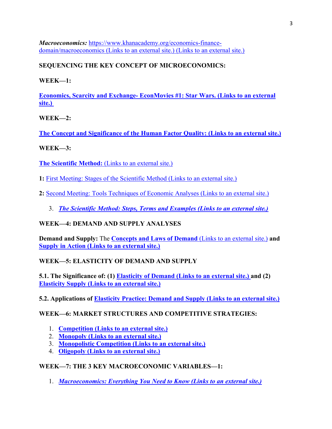*Macroeconomics:* https://www.khanacademy.org/economics-financedomain/macroeconomics (Links to an external site.) (Links to an external site.)

# **SEQUENCING THE KEY CONCEPT OF MICROECONOMICS:**

**WEEK—1:**

**Economics, Scarcity and Exchange- EconMovies #1: Star Wars. (Links to an external site.)**

**WEEK—2:**

**The Concept and Significance of the Human Factor Quality: (Links to an external site.)**

# **WEEK—3:**

**The Scientific Method:** (Links to an external site.)

**1:** First Meeting: Stages of the Scientific Method (Links to an external site.)

**2:** Second Meeting: Tools Techniques of Economic Analyses (Links to an external site.)

3. *The Scientific Method: Steps, Terms and Examples (Links to an external site.)*

# **WEEK—4: DEMAND AND SUPPLY ANALYSES**

**Demand and Supply:** The **Concepts and Laws of Demand** (Links to an external site.) **and Supply in Action (Links to an external site.)**

# **WEEK—5: ELASTICITY OF DEMAND AND SUPPLY**

**5.1. The Significance of: (1) Elasticity of Demand (Links to an external site.) and (2) Elasticity Supply (Links to an external site.)**

**5.2. Applications of Elasticity Practice: Demand and Supply (Links to an external site.)**

# **WEEK—6: MARKET STRUCTURES AND COMPETITIVE STRATEGIES:**

- 1. **Competition (Links to an external site.)**
- 2. **Monopoly (Links to an external site.)**
- 3. **Monopolistic Competition (Links to an external site.)**
- 4. **Oligopoly (Links to an external site.)**

# **WEEK—7: THE 3 KEY MACROECONOMIC VARIABLES—1:**

1. *Macroeconomics: Everything You Need to Know (Links to an external site.)*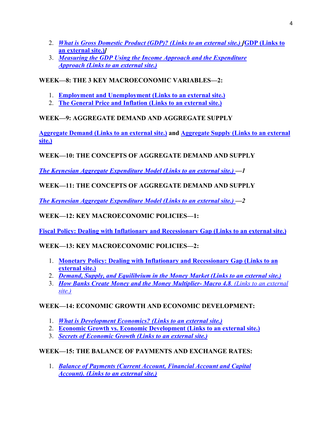- 2. *What is Gross Domestic Product (GDP)? (Links to an external site.) [***GDP (Links to an external site.)***]*
- 3. *Measuring the GDP Using the Income Approach and the Expenditure Approach (Links to an external site.)*

# **WEEK—8: THE 3 KEY MACROECONOMIC VARIABLES—2:**

- 1. **Employment and Unemployment (Links to an external site.)**
- 2. **The General Price and Inflation (Links to an external site.)**

# **WEEK—9: AGGREGATE DEMAND AND AGGREGATE SUPPLY**

**Aggregate Demand (Links to an external site.) and Aggregate Supply (Links to an external site.)**

# **WEEK—10: THE CONCEPTS OF AGGREGATE DEMAND AND SUPPLY**

*The Keynesian Aggregate Expenditure Model (Links to an external site.) —1* 

# **WEEK—11: THE CONCEPTS OF AGGREGATE DEMAND AND SUPPLY**

*The Keynesian Aggregate Expenditure Model (Links to an external site.) —2* 

# **WEEK—12: KEY MACROECONOMIC POLICIES—1:**

**Fiscal Policy: Dealing with Inflationary and Recessionary Gap (Links to an external site.)**

# **WEEK—13: KEY MACROECONOMIC POLICIES—2:**

- 1. **Monetary Policy: Dealing with Inflationary and Recessionary Gap (Links to an external site.)**
- 2. *Demand, Supply, and Equilibrium in the Money Market (Links to an external site.)*
- 3. *How Banks Create Money and the Money Multiplier- Macro 4.8. (Links to an external site.)*

# **WEEK—14: ECONOMIC GROWTH AND ECONOMIC DEVELOPMENT:**

- 1. *What is Development Economics? (Links to an external site.)*
- 2. **Economic Growth vs. Economic Development (Links to an external site.)**
- 3. *Secrets of Economic Growth (Links to an external site.)*

# **WEEK—15: THE BALANCE OF PAYMENTS AND EXCHANGE RATES:**

1. *Balance of Payments (Current Account, Financial Account and Capital Account). (Links to an external site.)*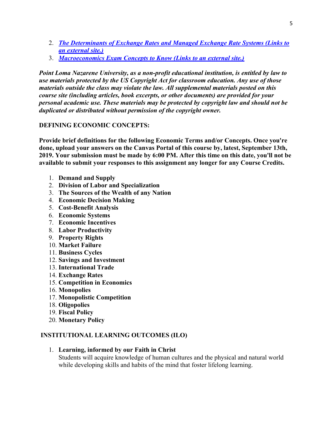- 2. *The Determinants of Exchange Rates and Managed Exchange Rate Systems (Links to an external site.)*
- 3. *Macroeconomics Exam Concepts to Know (Links to an external site.)*

*Point Loma Nazarene University, as a non-profit educational institution, is entitled by law to use materials protected by the US Copyright Act for classroom education. Any use of those materials outside the class may violate the law. All supplemental materials posted on this course site (including articles, book excerpts, or other documents) are provided for your personal academic use. These materials may be protected by copyright law and should not be duplicated or distributed without permission of the copyright owner.*

# **DEFINING ECONOMIC CONCEPTS:**

**Provide brief definitions for the following Economic Terms and/or Concepts. Once you're done, upload your answers on the Canvas Portal of this course by, latest, September 13th, 2019. Your submission must be made by 6:00 PM. After this time on this date, you'll not be available to submit your responses to this assignment any longer for any Course Credits.**

- 1. **Demand and Supply**
- 2. **Division of Labor and Specialization**
- 3. **The Sources of the Wealth of any Nation**
- 4. **Economic Decision Making**
- 5. **Cost-Benefit Analysis**
- 6. **Economic Systems**
- 7. **Economic Incentives**
- 8. **Labor Productivity**
- 9. **Property Rights**
- 10. **Market Failure**
- 11. **Business Cycles**
- 12. **Savings and Investment**
- 13. **International Trade**
- 14. **Exchange Rates**
- 15. **Competition in Economics**
- 16. **Monopolies**
- 17. **Monopolistic Competition**
- 18. **Oligopolies**
- 19. **Fiscal Policy**
- 20. **Monetary Policy**

# **INSTITUTIONAL LEARNING OUTCOMES (ILO)**

1. **Learning, informed by our Faith in Christ**

Students will acquire knowledge of human cultures and the physical and natural world while developing skills and habits of the mind that foster lifelong learning.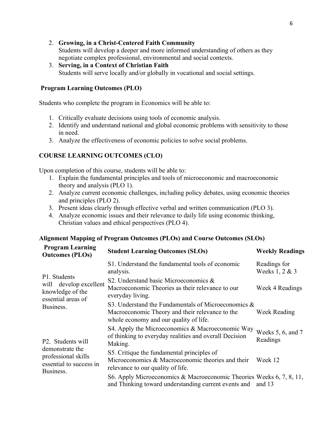#### 2. **Growing, in a Christ-Centered Faith Community**

Students will develop a deeper and more informed understanding of others as they negotiate complex professional, environmental and social contexts.

3. **Serving, in a Context of Christian Faith** Students will serve locally and/or globally in vocational and social settings.

#### **Program Learning Outcomes (PLO)**

Students who complete the program in Economics will be able to:

- 1. Critically evaluate decisions using tools of economic analysis.
- 2. Identify and understand national and global economic problems with sensitivity to those in need.
- 3. Analyze the effectiveness of economic policies to solve social problems.

# **COURSE LEARNING OUTCOMES (CLO)**

Upon completion of this course, students will be able to:

- 1. Explain the fundamental principles and tools of microeconomic and macroeconomic theory and analysis (PLO 1).
- 2. Analyze current economic challenges, including policy debates, using economic theories and principles (PLO 2).
- 3. Present ideas clearly through effective verbal and written communication (PLO 3).
- 4. Analyze economic issues and their relevance to daily life using economic thinking, Christian values and ethical perspectives (PLO 4).

#### **Alignment Mapping of Program Outcomes (PLOs) and Course Outcomes (SLOs)**

| <b>Program Learning</b><br><b>Outcomes (PLOs)</b>                                                   | <b>Student Learning Outcomes (SLOs)</b>                                                                                                             | <b>Weekly Readings</b>         |
|-----------------------------------------------------------------------------------------------------|-----------------------------------------------------------------------------------------------------------------------------------------------------|--------------------------------|
| P1. Students<br>will develop excellent<br>knowledge of the<br>essential areas of<br>Business.       | S1. Understand the fundamental tools of economic<br>analysis.                                                                                       | Readings for<br>Weeks 1, 2 & 3 |
|                                                                                                     | S2. Understand basic Microeconomics &<br>Macroeconomic Theories as their relevance to our<br>everyday living.                                       | Week 4 Readings                |
|                                                                                                     | S3. Understand the Fundamentals of Microeconomics $\&$<br>Macroeconomic Theory and their relevance to the<br>whole economy and our quality of life. | Week Reading                   |
| P2. Students will<br>demonstrate the<br>professional skills<br>essential to success in<br>Business. | S4. Apply the Microeconomics & Macroeconomic Way<br>of thinking to everyday realities and overall Decision<br>Making.                               | Weeks 5, 6, and 7<br>Readings  |
|                                                                                                     | S5. Critique the fundamental principles of<br>Microeconomics & Macroeconomic theories and their<br>relevance to our quality of life.                | Week 12                        |
|                                                                                                     | S6. Apply Microeconomics & Macroeconomic Theories Weeks 6, 7, 8, 11,<br>and Thinking toward understanding current events and and 13                 |                                |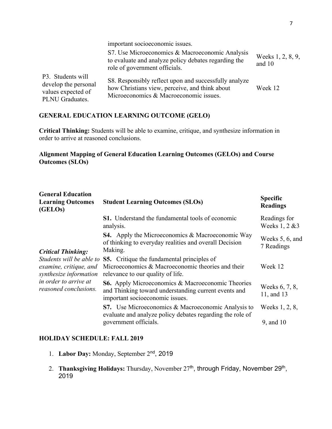|                                                                                    | important socioeconomic issues.                                                                                                                   |                             |
|------------------------------------------------------------------------------------|---------------------------------------------------------------------------------------------------------------------------------------------------|-----------------------------|
|                                                                                    | S7. Use Microeconomics & Macroeconomic Analysis<br>to evaluate and analyze policy debates regarding the<br>role of government officials.          | Weeks 1, 2, 8, 9,<br>and 10 |
| P3. Students will<br>develop the personal<br>values expected of<br>PLNU Graduates. | S8. Responsibly reflect upon and successfully analyze<br>how Christians view, perceive, and think about<br>Microeconomics & Macroeconomic issues. | Week 12                     |

# **GENERAL EDUCATION LEARNING OUTCOME (GELO)**

**Critical Thinking:** Students will be able to examine, critique, and synthesize information in order to arrive at reasoned conclusions.

# **Alignment Mapping of General Education Learning Outcomes (GELOs) and Course Outcomes (SLOs)**

| <b>General Education</b><br><b>Learning Outcomes</b><br>(GELOs)                                                                                             | <b>Student Learning Outcomes (SLOs)</b>                                                                                                             | <b>Specific</b><br><b>Readings</b> |
|-------------------------------------------------------------------------------------------------------------------------------------------------------------|-----------------------------------------------------------------------------------------------------------------------------------------------------|------------------------------------|
| <b>Critical Thinking:</b><br>Students will be able to<br>examine, critique, and<br>synthesize information<br>in order to arrive at<br>reasoned conclusions. | <b>S1.</b> Understand the fundamental tools of economic<br>analysis.                                                                                | Readings for<br>Weeks 1, 2 & 3     |
|                                                                                                                                                             | <b>S4.</b> Apply the Microeconomics & Macroeconomic Way<br>of thinking to everyday realities and overall Decision<br>Making.                        | Weeks 5, 6, and<br>7 Readings      |
|                                                                                                                                                             | <b>S5.</b> Critique the fundamental principles of<br>Microeconomics & Macroeconomic theories and their<br>relevance to our quality of life.         | Week 12                            |
|                                                                                                                                                             | <b>S6.</b> Apply Microeconomics & Macroeconomic Theories<br>and Thinking toward understanding current events and<br>important socioeconomic issues. | Weeks 6, 7, 8,<br>11, and 13       |
|                                                                                                                                                             | S7. Use Microeconomics & Macroeconomic Analysis to<br>evaluate and analyze policy debates regarding the role of                                     | Weeks 1, 2, 8,                     |
|                                                                                                                                                             | government officials.                                                                                                                               | 9, and 10                          |

#### **HOLIDAY SCHEDULE: FALL 2019**

- 1. **Labor Day:** Monday, September 2nd, 2019
- 2. **Thanksgiving Holidays:** Thursday, November 27<sup>th</sup>, through Friday, November 29<sup>th</sup>, 2019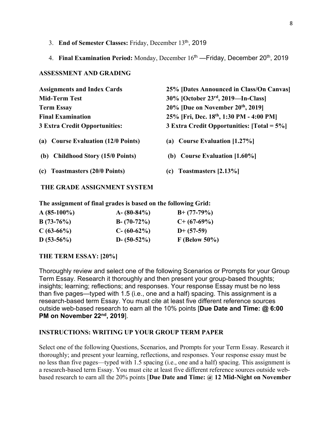- 3. **End of Semester Classes:** Friday, December 13th, 2019
- 4. **Final Examination Period:** Monday, December 16<sup>th</sup> Friday, December 20<sup>th</sup>, 2019

#### **ASSESSMENT AND GRADING**

| <b>Assignments and Index Cards</b>            | 25% [Dates Announced in Class/On Canvas]   |  |  |
|-----------------------------------------------|--------------------------------------------|--|--|
| <b>Mid-Term Test</b>                          | 30% [October 23rd, 2019—In-Class]          |  |  |
| <b>Term Essay</b>                             | $20\%$ [Due on November $20th$ , 2019]     |  |  |
| <b>Final Examination</b>                      | 25% [Fri, Dec. 18th, 1:30 PM - 4:00 PM]    |  |  |
| <b>3 Extra Credit Opportunities:</b>          | 3 Extra Credit Opportunities: [Total = 5%] |  |  |
| <b>Course Evaluation (12/0 Points)</b><br>(a) | <b>Course Evaluation [1.27%]</b><br>(a)    |  |  |
| <b>Childhood Story (15/0 Points)</b><br>(b)   | <b>Course Evaluation [1.60%]</b><br>(b)    |  |  |
| <b>Toastmasters (20/0 Points)</b><br>(c)      | Toastmasters [2.13%]<br>(c)                |  |  |

#### **THE GRADE ASSIGNMENT SYSTEM**

**The assignment of final grades is based on the following Grid:**

| $A(85-100\%)$ | $A - (80-84\%)$ | $B+ (77-79%)$   |  |
|---------------|-----------------|-----------------|--|
| $B(73-76%)$   | $B - (70-72%)$  | $C+$ (67-69%)   |  |
| $C(63-66%)$   | $C - (60-62\%)$ | $D+ (57-59)$    |  |
| $D(53-56%)$   | $D - (50-52\%)$ | $F$ (Below 50%) |  |

# **THE TERM ESSAY: [20%]**

Thoroughly review and select one of the following Scenarios or Prompts for your Group Term Essay. Research it thoroughly and then present your group-based thoughts; insights; learning; reflections; and responses. Your response Essay must be no less than five pages—typed with 1.5 (i.e., one and a half) spacing. This assignment is a research-based term Essay. You must cite at least five different reference sources outside web-based research to earn all the 10% points [**Due Date and Time: @ 6:00 PM on November 22nd, 2019**].

#### **INSTRUCTIONS: WRITING UP YOUR GROUP TERM PAPER**

Select one of the following Questions, Scenarios, and Prompts for your Term Essay. Research it thoroughly; and present your learning, reflections, and responses. Your response essay must be no less than five pages—typed with 1.5 spacing (i.e., one and a half) spacing. This assignment is a research-based term Essay. You must cite at least five different reference sources outside webbased research to earn all the 20% points [**Due Date and Time: @ 12 Mid-Night on November**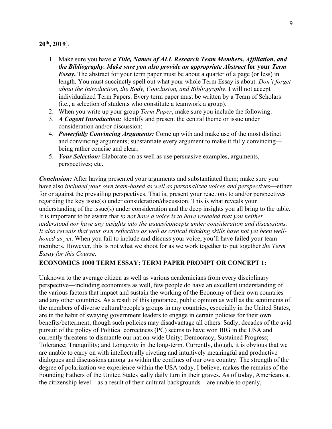#### **20th, 2019**].

- 1. Make sure you have *a Title, Names of ALL Research Team Members, Affiliation, and the Bibliography. Make sure you also provide an appropriate Abstract* **for your** *Term Essay***.** The abstract for your term paper must be about a quarter of a page (or less) in length. You must succinctly spell out what your whole Term Essay is about. *Don't forget about the Introduction, the Body, Conclusion, and Bibliography*. I will not accept individualized Term Papers. Every term paper must be written by a Team of Scholars (i.e., a selection of students who constitute a teamwork a group).
- 2. When you write up your group *Term Paper*, make sure you include the following:
- 3. *A Cogent Introduction:* Identify and present the central theme or issue under consideration and/or discussion;
- 4. *Powerfully Convincing Arguments:* Come up with and make use of the most distinct and convincing arguments; substantiate every argument to make it fully convincing being rather concise and clear;
- 5. *Your Selection:* Elaborate on as well as use persuasive examples, arguments, perspectives; etc.

*Conclusion:* After having presented your arguments and substantiated them; make sure you have also *included your own team-based as well as personalized voices and perspectives*—either for or against the prevailing perspectives. That is, present your reactions to and/or perspectives regarding the key issue(s) under consideration/discussion. This is what reveals your understanding of the issue(s) under consideration and the deep insights you all bring to the table. It is important to be aware that *to not have a voice is to have revealed that you neither understood nor have any insights into the issues/concepts under consideration and discussions. It also reveals that your own reflective as well as critical thinking skills have not yet been wellhoned as yet*. When you fail to include and discuss your voice, you'll have failed your team members. However, this is not what we shoot for as we work together to put together *the Term Essay for this Course*.

#### **ECONOMICS 1000 TERM ESSAY: TERM PAPER PROMPT OR CONCEPT 1:**

Unknown to the average citizen as well as various academicians from every disciplinary perspective—including economists as well, few people do have an excellent understanding of the various factors that impact and sustain the working of the Economy of their own countries and any other countries. As a result of this ignorance, public opinion as well as the sentiments of the members of diverse cultural/people's groups in any countries, especially in the United States, are in the habit of swaying government leaders to engage in certain policies for their own benefits/betterment; though such policies may disadvantage all others. Sadly, decades of the avid pursuit of the policy of Political correctness (PC) seems to have won BIG in the USA and currently threatens to dismantle our nation-wide Unity; Democracy; Sustained Progress; Tolerance; Tranquility; and Longevity in the long-term. Currently, though, it is obvious that we are unable to carry on with intellectually riveting and intuitively meaningful and productive dialogues and discussions among us within the confines of our own country. The strength of the degree of polarization we experience within the USA today, I believe, makes the remains of the Founding Fathers of the United States sadly daily turn in their graves. As of today, Americans at the citizenship level—as a result of their cultural backgrounds—are unable to openly,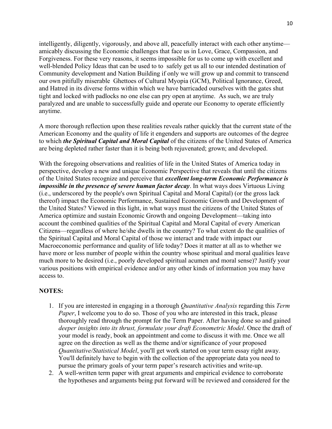intelligently, diligently, vigorously, and above all, peacefully interact with each other anytime amicably discussing the Economic challenges that face us in Love, Grace, Compassion, and Forgiveness. For these very reasons, it seems impossible for us to come up with excellent and well-blended Policy Ideas that can be used to to safely get us all to our intended destination of Community development and Nation Building if only we will grow up and commit to transcend our own pitifully miserable Ghettoes of Cultural Myopia (GCM), Political Ignorance, Greed, and Hatred in its diverse forms within which we have barricaded ourselves with the gates shut tight and locked with padlocks no one else can pry open at anytime. As such, we are truly paralyzed and are unable to successfully guide and operate our Economy to operate efficiently anytime.

A more thorough reflection upon these realities reveals rather quickly that the current state of the American Economy and the quality of life it engenders and supports are outcomes of the degree to which *the Spiritual Capital and Moral Capital* of the citizens of the United States of America are being depleted rather faster than it is being both rejuvenated; grown; and developed.

With the foregoing observations and realities of life in the United States of America today in perspective, develop a new and unique Economic Perspective that reveals that until the citizens of the United States recognize and perceive that *excellent long-term Economic Performance is impossible in the presence of severe human factor decay*. In what ways does Virtuous Living (i.e., underscored by the people's own Spiritual Capital and Moral Capital) (or the gross lack thereof) impact the Economic Performance, Sustained Economic Growth and Development of the United States? Viewed in this light, in what ways must the citizens of the United States of America optimize and sustain Economic Growth and ongoing Development—taking into account the combined qualities of the Spiritual Capital and Moral Capital of every American Citizens—regardless of where he/she dwells in the country? To what extent do the qualities of the Spiritual Capital and Moral Capital of those we interact and trade with impact our Macroeconomic performance and quality of life today? Does it matter at all as to whether we have more or less number of people within the country whose spiritual and moral qualities leave much more to be desired (i.e., poorly developed spiritual acumen and moral sense)? Justify your various positions with empirical evidence and/or any other kinds of information you may have access to.

#### **NOTES:**

- 1. If you are interested in engaging in a thorough *Quantitative Analysis* regarding this *Term Paper*, I welcome you to do so. Those of you who are interested in this track, please thoroughly read through the prompt for the Term Paper. After having done so and gained *deeper insights into its thrust, formulate your draft Econometric Model*. Once the draft of your model is ready, book an appointment and come to discuss it with me. Once we all agree on the direction as well as the theme and/or significance of your proposed *Quantitative/Statistical Model*, you'll get work started on your term essay right away. You'll definitely have to begin with the collection of the appropriate data you need to pursue the primary goals of your term paper's research activities and write-up.
- 2. A well-written term paper with great arguments and empirical evidence to corroborate the hypotheses and arguments being put forward will be reviewed and considered for the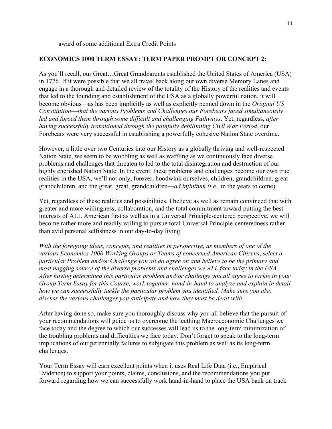award of some additional Extra Credit Points

#### **ECONOMICS 1000 TERM ESSAY: TERM PAPER PROMPT OR CONCEPT 2:**

As you'll recall, our Great…Great Grandparents established the United States of America (USA) in 1776. If it were possible that we all travel back along our own diverse Memory Lanes and engage in a thorough and detailed review of the totality of the History of the realities and events that led to the founding and establishment of the USA as a globally powerful nation, it will become obvious—as has been implicitly as well as explicitly penned down in the *Original US Constitution*—*that the various Problems and Challenges our Forebears faced simultaneously led and forced them through some difficult and challenging Pathways*. Yet, regardless, *after having successfully transitioned through the painfully debilitating Civil War Period*, our Forebears were very successful in establishing a powerfully cohesive Nation State overtime.

However, a little over two Centuries into our History as a globally thriving and well-respected Nation State, we seem to be wobbling as well as waffling as we continuously face diverse problems and challenges that threaten to led to the total disintegration and destruction of our highly cherished Nation State. In the event, these problems and challenges become our own true realities in the USA, we'll not only, forever, hoodwink ourselves, children, grandchildren, great grandchildren, and the great, great, grandchildren—*ad infinitum (i.e.,* in the years to come).

Yet, regardless of these realities and possibilities, I believe as well as remain convinced that with greater and more willingness, collaboration, and the total commitment toward putting the best interests of ALL American first as well as in a Universal Principle-centered perspective, we will become rather more and readily willing to pursue total Universal Principle-centeredness rather than avid personal selfishness in our day-to-day living.

*With the foregoing ideas, concepts, and realities in perspective, as members of one of the various Economics 1000 Working Groups or Teams of concerned American Citizens*, *select a particular Problem and/or Challenge you all do agree on and believe to be the primary and most nagging source of the diverse problems and challenges we ALL face today in the USA. After having determined this particular problem and/or challenge you all agree to tackle in your Group Term Essay for this Course, work together, hand-in-hand to analyze and explain in detail how we can successfully tackle the particular problem you identified. Make sure you also discuss the various challenges you anticipate and how they must be dealt with*.

After having done so, make sure you thoroughly discuss why you all believe that the pursuit of your recommendations will guide us to overcome the teething Macroeconomic Challenges we face today and the degree to which our successes will lead us to the long-term minimization of the troubling problems and difficulties we face today. Don't forget to speak to the long-term implications of our perennially failures to subjugate this problem as well as its long-term challenges.

Your Term Essay will earn excellent points when it uses Real Life Data (i.e., Empirical Evidence) to support your points, claims, conclusions, and the recommendations you put forward regarding how we can successfully work hand-in-hand to place the USA back on track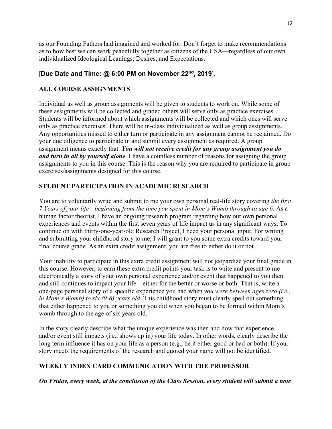as our Founding Fathers had imagined and worked for. Don't forget to make recommendations as to how best we can work peacefully together as citizens of the USA—regardless of our own individualized Ideological Leanings; Desires; and Expectations.

# [**Due Date and Time: @ 6:00 PM on November 22nd, 2019**].

## **ALL COURSE ASSIGNMENTS**

Individual as well as group assignments will be given to students to work on. While some of these assignments will be collected and graded others will serve only as practice exercises. Students will be informed about which assignments will be collected and which ones will serve only as practice exercises. There will be in-class individualized as well as group assignments. Any opportunities missed to either turn or participate in any assignment cannot be reclaimed. Do your due diligence to participate in and submit every assignment as required. A group assignment means exactly that. *You will not receive credit for any group assignment you do and turn in all by yourself alone*. I have a countless number of reasons for assigning the group assignments to you in this course. This is the reason why you are required to participate in group exercises/assignments designed for this course.

# **STUDENT PARTICIPATION IN ACADEMIC RESEARCH**

You are to voluntarily write and submit to me your own personal real-life story covering *the first 7 Years of your life—beginning from the time you spent in Mom's Womb through to age 6*. As a human factor theorist, I have an ongoing research program regarding how our own personal experiences and events within the first seven years of life impact us in any significant ways. To continue on with thirty-one-year-old Research Project, I need your personal input. For writing and submitting your childhood story to me, I will grant to you some extra credits toward your final course grade. As an extra credit assignment, you are free to either do it or not.

Your inability to participate in this extra credit assignment will not jeopardize your final grade in this course. However, to earn these extra credit points your task is to write and present to me electronically a story of your own personal experience and/or event that happened to you then and still continues to impact your life—either for the better or worse or both. That is, write a one-page personal story of a specific experience you had when *you were between ages zero (i.e., in Mom's Womb) to six (0-6) years old*. This childhood story must clearly spell out something that either happened to you or something you did when you began to be formed within Mom's womb through to the age of six years old.

In the story clearly describe what the unique experience was then and how that experience and/or event still impacts (i.e., shows up in) your life today. In other words, clearly describe the long term influence it has on your life as a person (e.g., be it either good or bad or both). If your story meets the requirements of the research and quoted your name will not be identified.

#### **WEEKLY INDEX CARD COMMUNICATION WITH THE PROFESSOR**

*On Friday, every week, at the conclusion of the Class Session, every student will submit a note*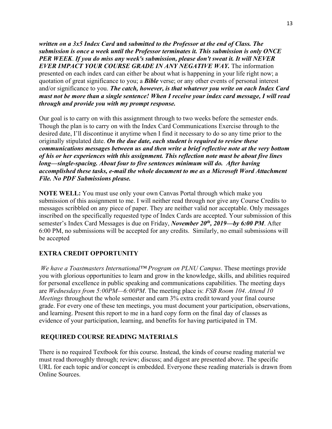*written on a 3x5 Index Card* **and** *submitted to the Professor at the end of Class. The submission is once a week until the Professor terminates it. This submission is only ONCE PER WEEK*. *If you do miss any week's submission, please don't sweat it. It will NEVER EVER IMPACT YOUR COURSE GRADE IN ANY NEGATIVE WAY.* The information presented on each index card can either be about what is happening in your life right now; a quotation of great significance to you; a *Bible* verse; or any other events of personal interest and/or significance to you. *The catch, however, is that whatever you write on each Index Card must not be more than a single sentence! When I receive your index card message, I will read through and provide you with my prompt response.*

Our goal is to carry on with this assignment through to two weeks before the semester ends. Though the plan is to carry on with the Index Card Communications Exercise through to the desired date, I'll discontinue it anytime when I find it necessary to do so any time prior to the originally stipulated date. *On the due date, each student is required to review these communications messages between us and then write a brief reflective note at the very bottom of his or her experiences with this assignment. This reflection note must be about five lines long—single-spacing. About four to five sentences minimum will do. After having accomplished these tasks, e-mail the whole document to me as a Microsoft Word Attachment File. No PDF Submissions please.*

**NOTE WELL:** You must use only your own Canvas Portal through which make you submission of this assignment to me. I will neither read through nor give any Course Credits to messages scribbled on any piece of paper. They are neither valid nor acceptable. Only messages inscribed on the specifically requested type of Index Cards are accepted. Your submission of this semester's Index Card Messages is due on Friday, *November 20th, 2019—by 6:00 PM*. After 6:00 PM, no submissions will be accepted for any credits. Similarly, no email submissions will be accepted

#### **EXTRA CREDIT OPPORTUNITY**

*We have a Toastmasters International™ Program on PLNU Campus*. These meetings provide you with glorious opportunities to learn and grow in the knowledge, skills, and abilities required for personal excellence in public speaking and communications capabilities. The meeting days are *Wednesdays from 5:00PM—6:00PM*. The meeting place is: *FSB Room 104*. *Attend 10 Meetings* throughout the whole semester and earn 3% extra credit toward your final course grade. For every one of these ten meetings, you must document your participation, observations, and learning. Present this report to me in a hard copy form on the final day of classes as evidence of your participation, learning, and benefits for having participated in TM.

#### **REQUIRED COURSE READING MATERIALS**

There is no required Textbook for this course. Instead, the kinds of course reading material we must read thoroughly through; review; discuss; and digest are presented above. The specific URL for each topic and/or concept is embedded. Everyone these reading materials is drawn from Online Sources.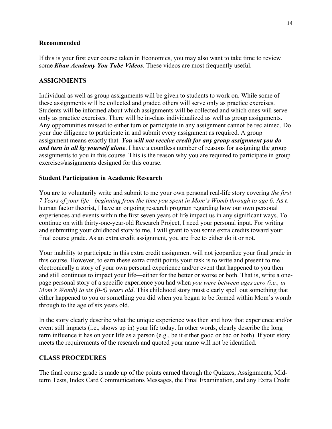#### **Recommended**

If this is your first ever course taken in Economics, you may also want to take time to review some *Khan Academy You Tube Videos*. These videos are most frequently useful.

#### **ASSIGNMENTS**

Individual as well as group assignments will be given to students to work on. While some of these assignments will be collected and graded others will serve only as practice exercises. Students will be informed about which assignments will be collected and which ones will serve only as practice exercises. There will be in-class individualized as well as group assignments. Any opportunities missed to either turn or participate in any assignment cannot be reclaimed. Do your due diligence to participate in and submit every assignment as required. A group assignment means exactly that. *You will not receive credit for any group assignment you do and turn in all by yourself alone*. I have a countless number of reasons for assigning the group assignments to you in this course. This is the reason why you are required to participate in group exercises/assignments designed for this course.

#### **Student Participation in Academic Research**

You are to voluntarily write and submit to me your own personal real-life story covering *the first 7 Years of your life—beginning from the time you spent in Mom's Womb through to age 6*. As a human factor theorist, I have an ongoing research program regarding how our own personal experiences and events within the first seven years of life impact us in any significant ways. To continue on with thirty-one-year-old Research Project, I need your personal input. For writing and submitting your childhood story to me, I will grant to you some extra credits toward your final course grade. As an extra credit assignment, you are free to either do it or not.

Your inability to participate in this extra credit assignment will not jeopardize your final grade in this course. However, to earn these extra credit points your task is to write and present to me electronically a story of your own personal experience and/or event that happened to you then and still continues to impact your life—either for the better or worse or both. That is, write a onepage personal story of a specific experience you had when *you were between ages zero (i.e., in Mom's Womb) to six (0-6) years old*. This childhood story must clearly spell out something that either happened to you or something you did when you began to be formed within Mom's womb through to the age of six years old.

In the story clearly describe what the unique experience was then and how that experience and/or event still impacts (i.e., shows up in) your life today. In other words, clearly describe the long term influence it has on your life as a person (e.g., be it either good or bad or both). If your story meets the requirements of the research and quoted your name will not be identified.

#### **CLASS PROCEDURES**

The final course grade is made up of the points earned through the Quizzes, Assignments, Midterm Tests, Index Card Communications Messages, the Final Examination, and any Extra Credit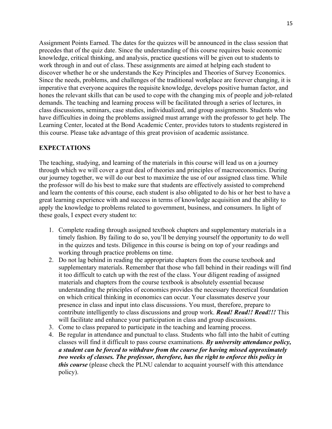Assignment Points Earned. The dates for the quizzes will be announced in the class session that precedes that of the quiz date. Since the understanding of this course requires basic economic knowledge, critical thinking, and analysis, practice questions will be given out to students to work through in and out of class. These assignments are aimed at helping each student to discover whether he or she understands the Key Principles and Theories of Survey Economics. Since the needs, problems, and challenges of the traditional workplace are forever changing, it is imperative that everyone acquires the requisite knowledge, develops positive human factor, and hones the relevant skills that can be used to cope with the changing mix of people and job-related demands. The teaching and learning process will be facilitated through a series of lectures, in class discussions, seminars, case studies, individualized, and group assignments. Students who have difficulties in doing the problems assigned must arrange with the professor to get help. The Learning Center, located at the Bond Academic Center, provides tutors to students registered in this course. Please take advantage of this great provision of academic assistance.

#### **EXPECTATIONS**

The teaching, studying, and learning of the materials in this course will lead us on a journey through which we will cover a great deal of theories and principles of macroeconomics. During our journey together, we will do our best to maximize the use of our assigned class time. While the professor will do his best to make sure that students are effectively assisted to comprehend and learn the contents of this course, each student is also obligated to do his or her best to have a great learning experience with and success in terms of knowledge acquisition and the ability to apply the knowledge to problems related to government, business, and consumers. In light of these goals, I expect every student to:

- 1. Complete reading through assigned textbook chapters and supplementary materials in a timely fashion. By failing to do so, you'll be denying yourself the opportunity to do well in the quizzes and tests. Diligence in this course is being on top of your readings and working through practice problems on time.
- 2. Do not lag behind in reading the appropriate chapters from the course textbook and supplementary materials. Remember that those who fall behind in their readings will find it too difficult to catch up with the rest of the class. Your diligent reading of assigned materials and chapters from the course textbook is absolutely essential because understanding the principles of economics provides the necessary theoretical foundation on which critical thinking in economics can occur. Your classmates deserve your presence in class and input into class discussions. You must, therefore, prepare to contribute intelligently to class discussions and group work. *Read! Read!! Read!!!* This will facilitate and enhance your participation in class and group discussions.
- 3. Come to class prepared to participate in the teaching and learning process.
- 4. Be regular in attendance and punctual to class. Students who fall into the habit of cutting classes will find it difficult to pass course examinations. *By university attendance policy, a student can be forced to withdraw from the course for having missed approximately two weeks of classes. The professor, therefore, has the right to enforce this policy in this course* (please check the PLNU calendar to acquaint yourself with this attendance policy).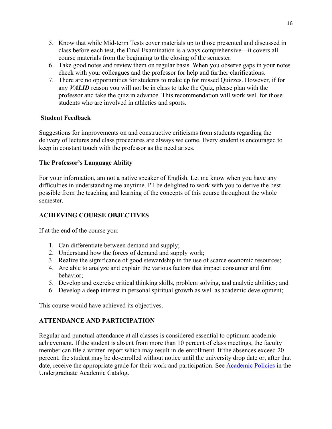- 5. Know that while Mid-term Tests cover materials up to those presented and discussed in class before each test, the Final Examination is always comprehensive—it covers all course materials from the beginning to the closing of the semester.
- 6. Take good notes and review them on regular basis. When you observe gaps in your notes check with your colleagues and the professor for help and further clarifications.
- 7. There are no opportunities for students to make up for missed Quizzes. However, if for any *VALID* reason you will not be in class to take the Quiz, please plan with the professor and take the quiz in advance. This recommendation will work well for those students who are involved in athletics and sports.

#### **Student Feedback**

Suggestions for improvements on and constructive criticisms from students regarding the delivery of lectures and class procedures are always welcome. Every student is encouraged to keep in constant touch with the professor as the need arises.

#### **The Professor's Language Ability**

For your information, am not a native speaker of English. Let me know when you have any difficulties in understanding me anytime. I'll be delighted to work with you to derive the best possible from the teaching and learning of the concepts of this course throughout the whole semester.

# **ACHIEVING COURSE OBJECTIVES**

If at the end of the course you:

- 1. Can differentiate between demand and supply;
- 2. Understand how the forces of demand and supply work;
- 3. Realize the significance of good stewardship in the use of scarce economic resources;
- 4. Are able to analyze and explain the various factors that impact consumer and firm behavior;
- 5. Develop and exercise critical thinking skills, problem solving, and analytic abilities; and
- 6. Develop a deep interest in personal spiritual growth as well as academic development;

This course would have achieved its objectives.

# **ATTENDANCE AND PARTICIPATION**

Regular and punctual attendance at all classes is considered essential to optimum academic achievement. If the student is absent from more than 10 percent of class meetings, the faculty member can file a written report which may result in de-enrollment. If the absences exceed 20 percent, the student may be de-enrolled without notice until the university drop date or, after that date, receive the appropriate grade for their work and participation. See Academic Policies in the Undergraduate Academic Catalog.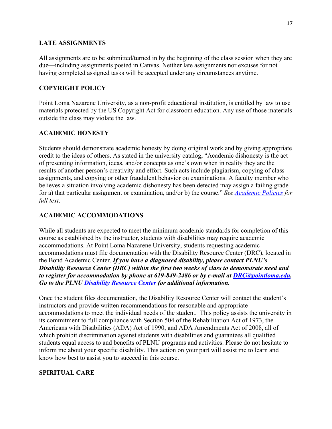## **LATE ASSIGNMENTS**

All assignments are to be submitted/turned in by the beginning of the class session when they are due—including assignments posted in Canvas. Neither late assignments nor excuses for not having completed assigned tasks will be accepted under any circumstances anytime.

# **COPYRIGHT POLICY**

Point Loma Nazarene University, as a non-profit educational institution, is entitled by law to use materials protected by the US Copyright Act for classroom education. Any use of those materials outside the class may violate the law.

# **ACADEMIC HONESTY**

Students should demonstrate academic honesty by doing original work and by giving appropriate credit to the ideas of others. As stated in the university catalog, "Academic dishonesty is the act of presenting information, ideas, and/or concepts as one's own when in reality they are the results of another person's creativity and effort. Such acts include plagiarism, copying of class assignments, and copying or other fraudulent behavior on examinations. A faculty member who believes a situation involving academic dishonesty has been detected may assign a failing grade for a) that particular assignment or examination, and/or b) the course." *See Academic Policies for full text*.

# **ACADEMIC ACCOMMODATIONS**

While all students are expected to meet the minimum academic standards for completion of this course as established by the instructor, students with disabilities may require academic accommodations. At Point Loma Nazarene University, students requesting academic accommodations must file documentation with the Disability Resource Center (DRC), located in the Bond Academic Center. *If you have a diagnosed disability, please contact PLNU's Disability Resource Center (DRC) within the first two weeks of class to demonstrate need and to register for accommodation by phone at 619-849-2486 or by e-mail at DRC@pointloma.edu. Go to the PLNU Disability Resource Center for additional information.*

Once the student files documentation, the Disability Resource Center will contact the student's instructors and provide written recommendations for reasonable and appropriate accommodations to meet the individual needs of the student. This policy assists the university in its commitment to full compliance with Section 504 of the Rehabilitation Act of 1973, the Americans with Disabilities (ADA) Act of 1990, and ADA Amendments Act of 2008, all of which prohibit discrimination against students with disabilities and guarantees all qualified students equal access to and benefits of PLNU programs and activities. Please do not hesitate to inform me about your specific disability. This action on your part will assist me to learn and know how best to assist you to succeed in this course.

# **SPIRITUAL CARE**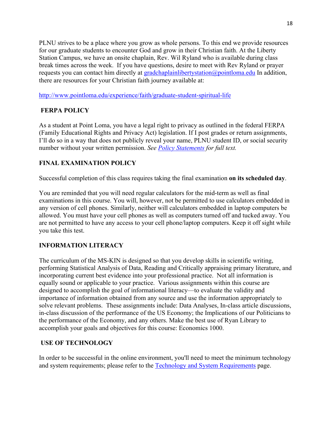PLNU strives to be a place where you grow as whole persons. To this end we provide resources for our graduate students to encounter God and grow in their Christian faith. At the Liberty Station Campus, we have an onsite chaplain, Rev. Wil Ryland who is available during class break times across the week. If you have questions, desire to meet with Rev Ryland or prayer requests you can contact him directly at gradchaplainlibertystation@pointloma.edu In addition, there are resources for your Christian faith journey available at:

http://www.pointloma.edu/experience/faith/graduate-student-spiritual-life

# **FERPA POLICY**

As a student at Point Loma, you have a legal right to privacy as outlined in the federal FERPA (Family Educational Rights and Privacy Act) legislation. If I post grades or return assignments, I'll do so in a way that does not publicly reveal your name, PLNU student ID, or social security number without your written permission. *See Policy Statements for full text.*

# **FINAL EXAMINATION POLICY**

Successful completion of this class requires taking the final examination **on its scheduled day**.

You are reminded that you will need regular calculators for the mid-term as well as final examinations in this course. You will, however, not be permitted to use calculators embedded in any version of cell phones. Similarly, neither will calculators embedded in laptop computers be allowed. You must have your cell phones as well as computers turned off and tucked away. You are not permitted to have any access to your cell phone/laptop computers. Keep it off sight while you take this test.

# **INFORMATION LITERACY**

The curriculum of the MS-KIN is designed so that you develop skills in scientific writing, performing Statistical Analysis of Data, Reading and Critically appraising primary literature, and incorporating current best evidence into your professional practice. Not all information is equally sound or applicable to your practice. Various assignments within this course are designed to accomplish the goal of informational literacy—to evaluate the validity and importance of information obtained from any source and use the information appropriately to solve relevant problems. These assignments include: Data Analyses, In-class article discussions, in-class discussion of the performance of the US Economy; the Implications of our Politicians to the performance of the Economy, and any others. Make the best use of Ryan Library to accomplish your goals and objectives for this course: Economics 1000.

# **USE OF TECHNOLOGY**

In order to be successful in the online environment, you'll need to meet the minimum technology and system requirements; please refer to the Technology and System Requirements page.